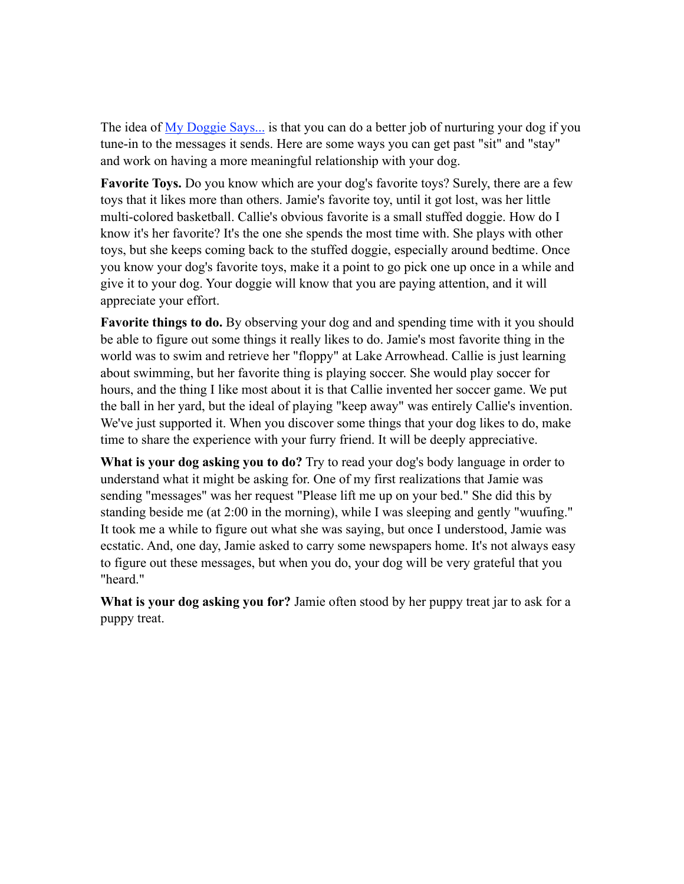The idea of [My Doggie Says...](http://www.mydoggiesays.com) is that you can do a better job of nurturing your dog if you tune-in to the messages it sends. Here are some ways you can get past "sit" and "stay" and work on having a more meaningful relationship with your dog.

**Favorite Toys.** Do you know which are your dog's favorite toys? Surely, there are a few toys that it likes more than others. Jamie's favorite toy, until it got lost, was her little multi-colored basketball. Callie's obvious favorite is a small stuffed doggie. How do I know it's her favorite? It's the one she spends the most time with. She plays with other toys, but she keeps coming back to the stuffed doggie, especially around bedtime. Once you know your dog's favorite toys, make it a point to go pick one up once in a while and give it to your dog. Your doggie will know that you are paying attention, and it will appreciate your effort.

**Favorite things to do.** By observing your dog and and spending time with it you should be able to figure out some things it really likes to do. Jamie's most favorite thing in the world was to swim and retrieve her "floppy" at Lake Arrowhead. Callie is just learning about swimming, but her favorite thing is playing soccer. She would play soccer for hours, and the thing I like most about it is that Callie invented her soccer game. We put the ball in her yard, but the ideal of playing "keep away" was entirely Callie's invention. We've just supported it. When you discover some things that your dog likes to do, make time to share the experience with your furry friend. It will be deeply appreciative.

**What is your dog asking you to do?** Try to read your dog's body language in order to understand what it might be asking for. One of my first realizations that Jamie was sending "messages" was her request "Please lift me up on your bed." She did this by standing beside me (at 2:00 in the morning), while I was sleeping and gently "wuufing." It took me a while to figure out what she was saying, but once I understood, Jamie was ecstatic. And, one day, Jamie asked to carry some newspapers home. It's not always easy to figure out these messages, but when you do, your dog will be very grateful that you "heard."

**What is your dog asking you for?** Jamie often stood by her puppy treat jar to ask for a puppy treat.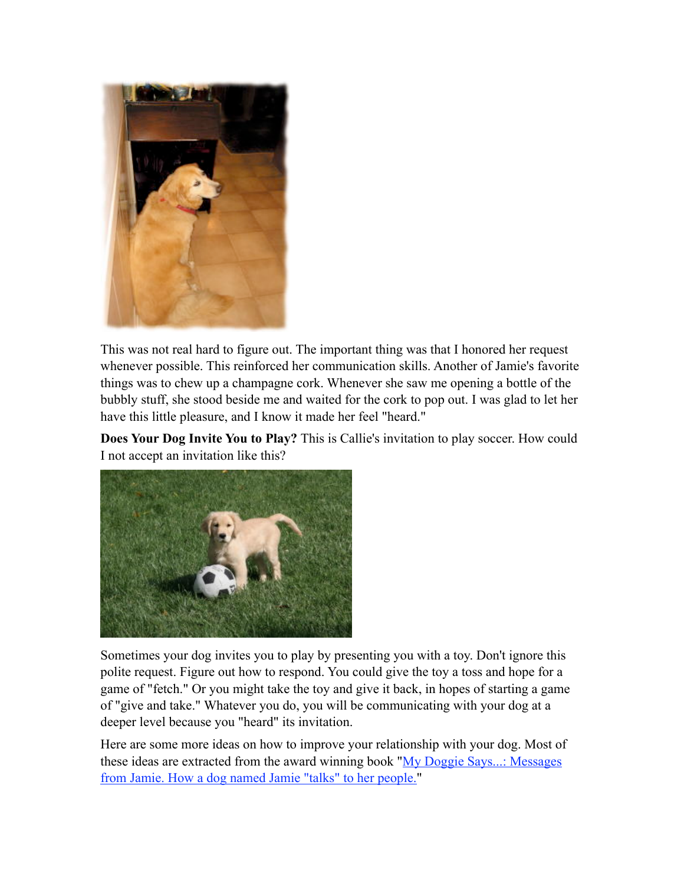

This was not real hard to figure out. The important thing was that I honored her request whenever possible. This reinforced her communication skills. Another of Jamie's favorite things was to chew up a champagne cork. Whenever she saw me opening a bottle of the bubbly stuff, she stood beside me and waited for the cork to pop out. I was glad to let her have this little pleasure, and I know it made her feel "heard."

**Does Your Dog Invite You to Play?** This is Callie's invitation to play soccer. How could I not accept an invitation like this?



Sometimes your dog invites you to play by presenting you with a toy. Don't ignore this polite request. Figure out how to respond. You could give the toy a toss and hope for a game of "fetch." Or you might take the toy and give it back, in hopes of starting a game of "give and take." Whatever you do, you will be communicating with your dog at a deeper level because you "heard" its invitation.

Here are some more ideas on how to improve your relationship with your dog. Most of these ideas are extracted from the award winning book ["My Doggie Says...: Messages](http://www.mydoggiesays.com)  [from Jamie. How a dog named Jamie "talks" to her people.](http://www.mydoggiesays.com)"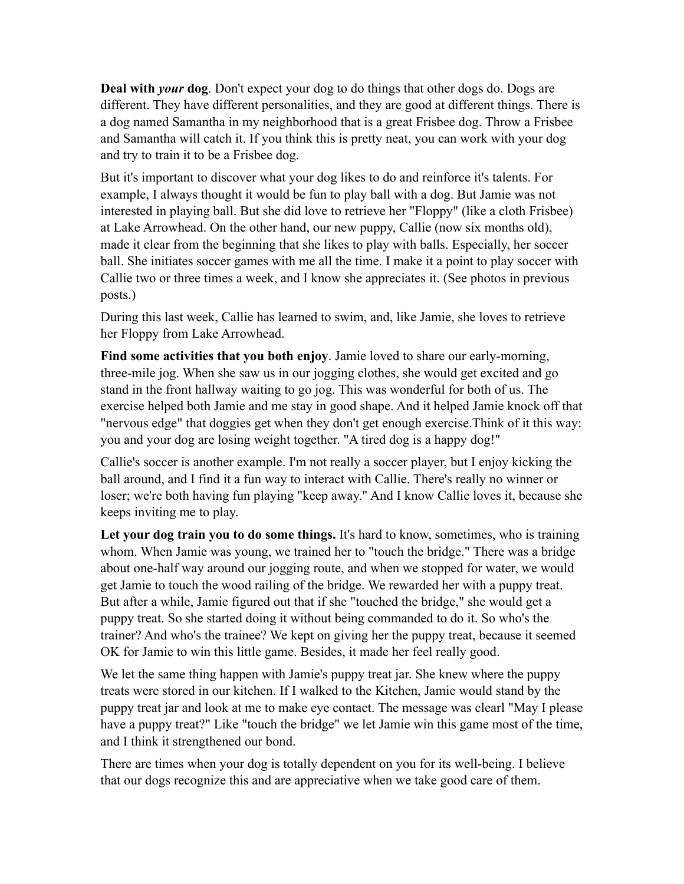**Deal with** *your* **dog**. Don't expect your dog to do things that other dogs do. Dogs are different. They have different personalities, and they are good at different things. There is a dog named Samantha in my neighborhood that is a great Frisbee dog. Throw a Frisbee and Samantha will catch it. If you think this is pretty neat, you can work with your dog and try to train it to be a Frisbee dog.

But it's important to discover what your dog likes to do and reinforce it's talents. For example, I always thought it would be fun to play ball with a dog. But Jamie was not interested in playing ball. But she did love to retrieve her "Floppy" (like a cloth Frisbee) at Lake Arrowhead. On the other hand, our new puppy, Callie (now six months old), made it clear from the beginning that she likes to play with balls. Especially, her soccer ball. She initiates soccer games with me all the time. I make it a point to play soccer with Callie two or three times a week, and I know she appreciates it. (See photos in previous posts.)

During this last week, Callie has learned to swim, and, like Jamie, she loves to retrieve her Floppy from Lake Arrowhead.

**Find some activities that you both enjoy**. Jamie loved to share our early-morning, three-mile jog. When she saw us in our jogging clothes, she would get excited and go stand in the front hallway waiting to go jog. This was wonderful for both of us. The exercise helped both Jamie and me stay in good shape. And it helped Jamie knock off that "nervous edge" that doggies get when they don't get enough exercise.Think of it this way: you and your dog are losing weight together. "A tired dog is a happy dog!"

Callie's soccer is another example. I'm not really a soccer player, but I enjoy kicking the ball around, and I find it a fun way to interact with Callie. There's really no winner or loser; we're both having fun playing "keep away." And I know Callie loves it, because she keeps inviting me to play.

Let your dog train you to do some things. It's hard to know, sometimes, who is training whom. When Jamie was young, we trained her to "touch the bridge." There was a bridge about one-half way around our jogging route, and when we stopped for water, we would get Jamie to touch the wood railing of the bridge. We rewarded her with a puppy treat. But after a while, Jamie figured out that if she "touched the bridge," she would get a puppy treat. So she started doing it without being commanded to do it. So who's the trainer? And who's the trainee? We kept on giving her the puppy treat, because it seemed OK for Jamie to win this little game. Besides, it made her feel really good.

We let the same thing happen with Jamie's puppy treat jar. She knew where the puppy treats were stored in our kitchen. If I walked to the Kitchen, Jamie would stand by the puppy treat jar and look at me to make eye contact. The message was clearl "May I please have a puppy treat?" Like "touch the bridge" we let Jamie win this game most of the time, and I think it strengthened our bond.

There are times when your dog is totally dependent on you for its well-being. I believe that our dogs recognize this and are appreciative when we take good care of them.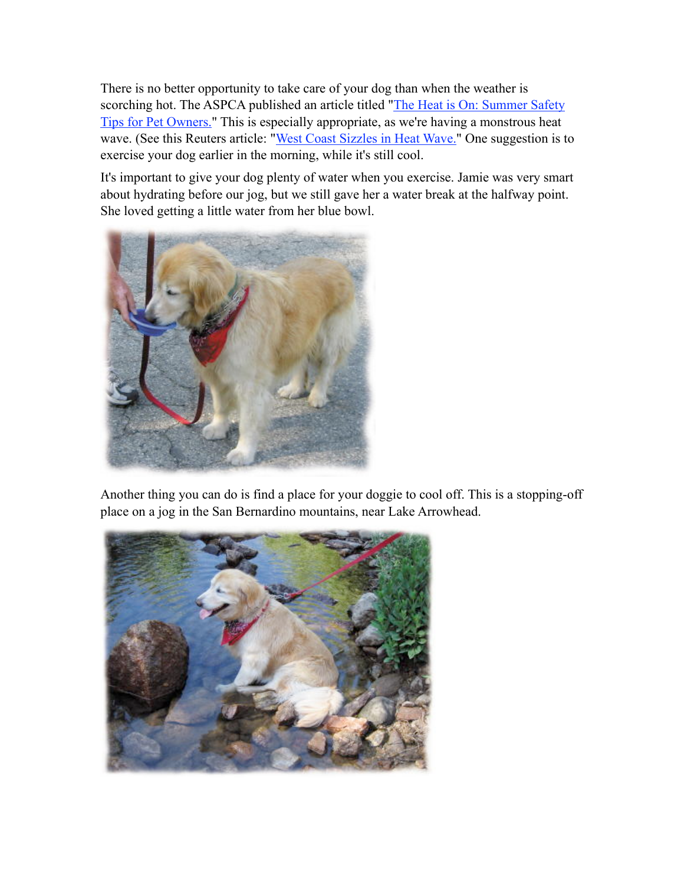There is no better opportunity to take care of your dog than when the weather is scorching hot. The ASPCA published an article titled "The Heat is On: Summer Safety [Tips for Pet Owners."](http://www.aspca.org/site/PageServer?pagename=media_newsalert070607#1) This is especially appropriate, as we're having a monstrous heat wave. (See this Reuters article: "[West Coast Sizzles in Heat Wave."](http://www.reuters.com/news/video/videoStory?videoId=59256) One suggestion is to exercise your dog earlier in the morning, while it's still cool.

It's important to give your dog plenty of water when you exercise. Jamie was very smart about hydrating before our jog, but we still gave her a water break at the halfway point. She loved getting a little water from her blue bowl.



Another thing you can do is find a place for your doggie to cool off. This is a stopping-off place on a jog in the San Bernardino mountains, near Lake Arrowhead.

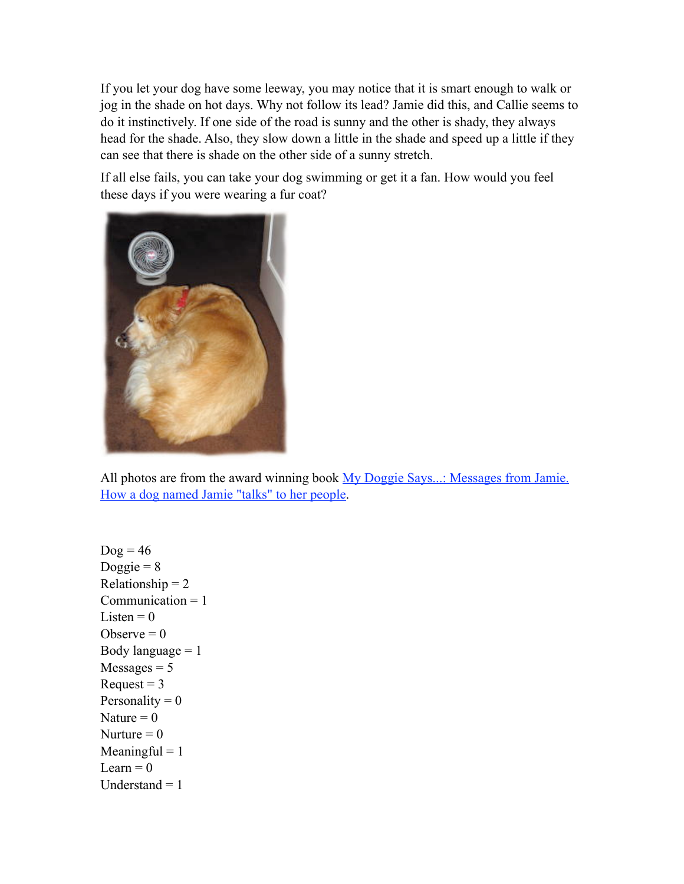If you let your dog have some leeway, you may notice that it is smart enough to walk or jog in the shade on hot days. Why not follow its lead? Jamie did this, and Callie seems to do it instinctively. If one side of the road is sunny and the other is shady, they always head for the shade. Also, they slow down a little in the shade and speed up a little if they can see that there is shade on the other side of a sunny stretch.

If all else fails, you can take your dog swimming or get it a fan. How would you feel these days if you were wearing a fur coat?



All photos are from the award winning book My Doggie Says...: Messages from Jamie. [How a dog named Jamie "talks" to her people.](http://www.mydoggiesays.com)

 $\text{Dog} = 46$ Doggie =  $8$ Relationship  $= 2$ Communication  $= 1$ Listen  $= 0$ Observe  $= 0$ Body language  $= 1$  $Messages = 5$ Request  $= 3$ Personality  $= 0$ Nature  $= 0$ Nurture  $= 0$  $Meaningful = 1$ Learn  $= 0$ Understand  $= 1$